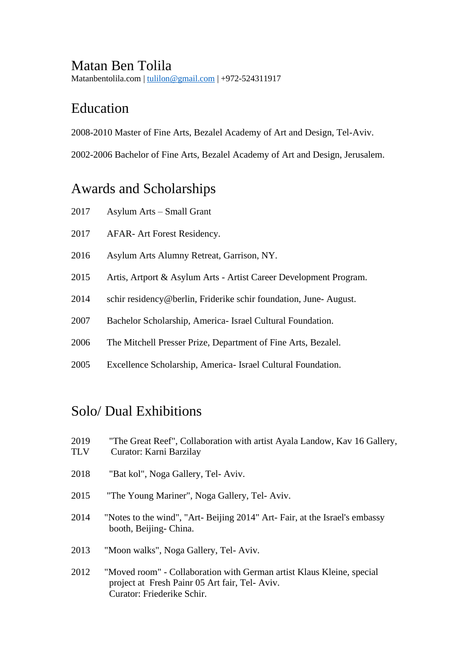### Matan Ben Tolila

Matanbentolila.com | [tulilon@gmail.com](mailto:tulilon@gmail.com) | +972-524311917

# Education

2008-2010 Master of Fine Arts, Bezalel Academy of Art and Design, Tel-Aviv.

2002-2006 Bachelor of Fine Arts, Bezalel Academy of Art and Design, Jerusalem.

### Awards and Scholarships

- 2017 Asylum Arts Small Grant
- 2017 AFAR- Art Forest Residency.
- 2016 Asylum Arts Alumny Retreat, Garrison, NY.
- 2015 Artis, Artport & Asylum Arts Artist Career Development Program.
- 2014 schir residency@berlin, Friderike schir foundation, June- August.
- 2007 Bachelor Scholarship, America- Israel Cultural Foundation.
- 2006 The Mitchell Presser Prize, Department of Fine Arts, Bezalel.
- 2005 Excellence Scholarship, America- Israel Cultural Foundation.

### Solo/ Dual Exhibitions

- 2019 "The Great Reef", Collaboration with artist Ayala Landow, Kav 16 Gallery,
- TLV Curator: Karni Barzilay
- 2018 "Bat kol", Noga Gallery, Tel- Aviv.
- 2015 "The Young Mariner", Noga Gallery, Tel- Aviv.
- 2014 "Notes to the wind", "Art- Beijing 2014" Art- Fair, at the Israel's embassy booth, Beijing- China.
- 2013 "Moon walks", Noga Gallery, Tel- Aviv.
- 2012 "Moved room" Collaboration with German artist Klaus Kleine, special project at Fresh Painr 05 Art fair, Tel- Aviv. Curator: Friederike Schir.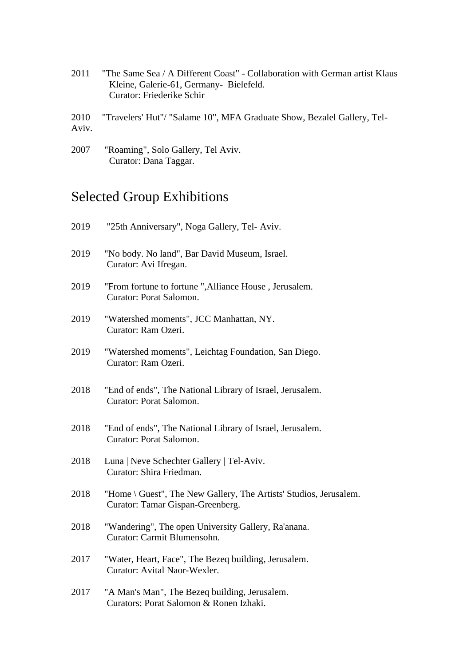2011 "The Same Sea / A Different Coast" - Collaboration with German artist Klaus Kleine, Galerie-61, Germany- Bielefeld. Curator: Friederike Schir

2010 "Travelers' Hut"/ "Salame 10", MFA Graduate Show, Bezalel Gallery, Tel-Aviv.

2007 "Roaming", Solo Gallery, Tel Aviv. Curator: Dana Taggar.

## Selected Group Exhibitions

| 2019 | "25th Anniversary", Noga Gallery, Tel- Aviv.                                                          |
|------|-------------------------------------------------------------------------------------------------------|
| 2019 | "No body. No land", Bar David Museum, Israel.<br>Curator: Avi Ifregan.                                |
| 2019 | "From fortune to fortune ", Alliance House, Jerusalem.<br>Curator: Porat Salomon.                     |
| 2019 | "Watershed moments", JCC Manhattan, NY.<br>Curator: Ram Ozeri.                                        |
| 2019 | "Watershed moments", Leichtag Foundation, San Diego.<br>Curator: Ram Ozeri.                           |
| 2018 | "End of ends", The National Library of Israel, Jerusalem.<br>Curator: Porat Salomon.                  |
| 2018 | "End of ends", The National Library of Israel, Jerusalem.<br>Curator: Porat Salomon.                  |
| 2018 | Luna   Neve Schechter Gallery   Tel-Aviv.<br>Curator: Shira Friedman.                                 |
| 2018 | "Home \ Guest", The New Gallery, The Artists' Studios, Jerusalem.<br>Curator: Tamar Gispan-Greenberg. |
| 2018 | "Wandering", The open University Gallery, Ra'anana.<br>Curator: Carmit Blumensohn.                    |
| 2017 | "Water, Heart, Face", The Bezeq building, Jerusalem.<br>Curator: Avital Naor-Wexler.                  |
| 2017 | "A Man's Man", The Bezeq building, Jerusalem.<br>Curators: Porat Salomon & Ronen Izhaki.              |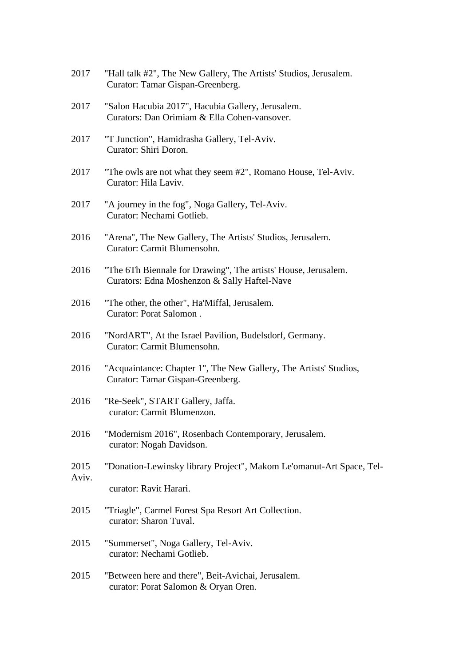| 2017  | "Hall talk #2", The New Gallery, The Artists' Studios, Jerusalem.<br>Curator: Tamar Gispan-Greenberg.          |
|-------|----------------------------------------------------------------------------------------------------------------|
| 2017  | "Salon Hacubia 2017", Hacubia Gallery, Jerusalem.<br>Curators: Dan Orimiam & Ella Cohen-vansover.              |
| 2017  | "T Junction", Hamidrasha Gallery, Tel-Aviv.<br>Curator: Shiri Doron.                                           |
| 2017  | "The owls are not what they seem #2", Romano House, Tel-Aviv.<br>Curator: Hila Laviv.                          |
| 2017  | "A journey in the fog", Noga Gallery, Tel-Aviv.<br>Curator: Nechami Gotlieb.                                   |
| 2016  | "Arena", The New Gallery, The Artists' Studios, Jerusalem.<br>Curator: Carmit Blumensohn.                      |
| 2016  | "The 6Th Biennale for Drawing", The artists' House, Jerusalem.<br>Curators: Edna Moshenzon & Sally Haftel-Nave |
| 2016  | "The other, the other", Ha'Miffal, Jerusalem.<br>Curator: Porat Salomon.                                       |
| 2016  | "NordART", At the Israel Pavilion, Budelsdorf, Germany.<br>Curator: Carmit Blumensohn.                         |
| 2016  | "Acquaintance: Chapter 1", The New Gallery, The Artists' Studios,<br>Curator: Tamar Gispan-Greenberg.          |
| 2016  | "Re-Seek", START Gallery, Jaffa.<br>curator: Carmit Blumenzon.                                                 |
| 2016  | "Modernism 2016", Rosenbach Contemporary, Jerusalem.<br>curator: Nogah Davidson.                               |
| 2015  | "Donation-Lewinsky library Project", Makom Le'omanut-Art Space, Tel-                                           |
| Aviv. | curator: Ravit Harari.                                                                                         |
| 2015  | "Triagle", Carmel Forest Spa Resort Art Collection.<br>curator: Sharon Tuval.                                  |
| 2015  | "Summerset", Noga Gallery, Tel-Aviv.<br>curator: Nechami Gotlieb.                                              |
| 2015  | "Between here and there", Beit-Avichai, Jerusalem.<br>curator: Porat Salomon & Oryan Oren.                     |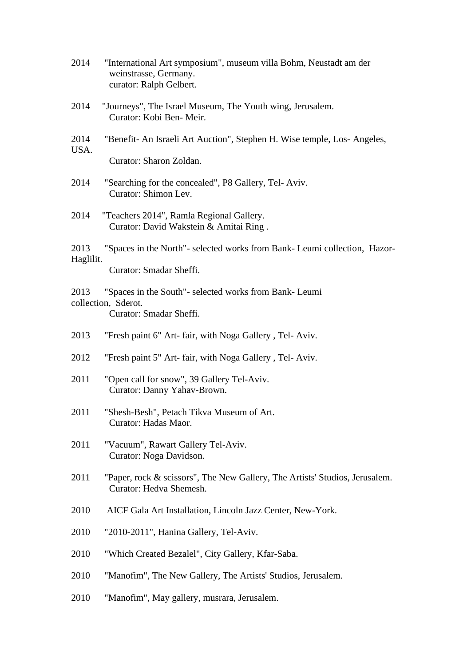- 2014 "International Art symposium", museum villa Bohm, Neustadt am der weinstrasse, Germany. curator: Ralph Gelbert.
- 2014 "Journeys", The Israel Museum, The Youth wing, Jerusalem. Curator: Kobi Ben- Meir.
- 2014 "Benefit- An Israeli Art Auction", Stephen H. Wise temple, Los- Angeles, USA.

Curator: Sharon Zoldan.

- 2014 "Searching for the concealed", P8 Gallery, Tel- Aviv. Curator: Shimon Lev.
- 2014 "Teachers 2014", Ramla Regional Gallery. Curator: David Wakstein & Amitai Ring .

2013 "Spaces in the North"- selected works from Bank- Leumi collection, Hazor-Haglilit.

Curator: Smadar Sheffi.

2013 "Spaces in the South"- selected works from Bank- Leumi collection, Sderot.

Curator: Smadar Sheffi.

- 2013 "Fresh paint 6" Art- fair, with Noga Gallery , Tel- Aviv.
- 2012 "Fresh paint 5" Art- fair, with Noga Gallery , Tel- Aviv.
- 2011 "Open call for snow", 39 Gallery Tel-Aviv. Curator: Danny Yahav-Brown.
- 2011 "Shesh-Besh", Petach Tikva Museum of Art. Curator: Hadas Maor.
- 2011 "Vacuum", Rawart Gallery Tel-Aviv. Curator: Noga Davidson.
- 2011 "Paper, rock & scissors", The New Gallery, The Artists' Studios, Jerusalem. Curator: Hedva Shemesh.
- 2010 AICF Gala Art Installation, Lincoln Jazz Center, New-York.
- 2010 "2010-2011", Hanina Gallery, Tel-Aviv.
- 2010 "Which Created Bezalel", City Gallery, Kfar-Saba.
- 2010 "Manofim", The New Gallery, The Artists' Studios, Jerusalem.
- 2010 "Manofim", May gallery, musrara, Jerusalem.